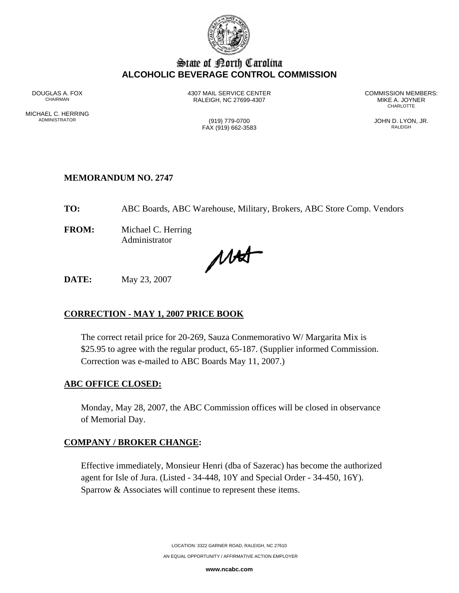

# State of Borth Carolina **ALCOHOLIC BEVERAGE CONTROL COMMISSION**

MICHAEL C. HERRING<br>ADMINISTRATOR

DOUGLAS A. FOX **1307 MAIL SERVICE CENTER** COMMISSION MEMBERS:<br>CHAIRMAN CHAIRMAN CHAIRMAN BEACH C 27699-4307 RALEIGH, NC 27699-4307 MIKE A. JOYNER **CHARLOTTE** 

 $FAX (919) 662-3583$ 

(919) 779-0700 (919) 779-0700 JOHN D. LYON, JR.

## **MEMORANDUM NO. 2747**

**TO:** ABC Boards, ABC Warehouse, Military, Brokers, ABC Store Comp. Vendors

**FROM:** Michael C. Herring Administrator

MAS

**DATE:** May 23, 2007

# **CORRECTION - MAY 1, 2007 PRICE BOOK**

The correct retail price for 20-269, Sauza Conmemorativo W/ Margarita Mix is \$25.95 to agree with the regular product, 65-187. (Supplier informed Commission. Correction was e-mailed to ABC Boards May 11, 2007.)

#### **ABC OFFICE CLOSED:**

Monday, May 28, 2007, the ABC Commission offices will be closed in observance of Memorial Day.

## **COMPANY / BROKER CHANGE:**

Effective immediately, Monsieur Henri (dba of Sazerac) has become the authorized agent for Isle of Jura. (Listed - 34-448, 10Y and Special Order - 34-450, 16Y). Sparrow & Associates will continue to represent these items.

> LOCATION: 3322 GARNER ROAD, RALEIGH, NC 27610 AN EQUAL OPPORTUNITY / AFFIRMATIVE ACTION EMPLOYER

> > **www.ncabc.com**